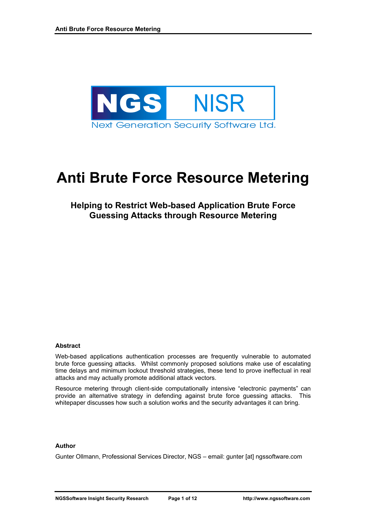

# **Anti Brute Force Resource Metering**

# **Helping to Restrict Web-based Application Brute Force Guessing Attacks through Resource Metering**

#### **Abstract**

Web-based applications authentication processes are frequently vulnerable to automated brute force guessing attacks. Whilst commonly proposed solutions make use of escalating time delays and minimum lockout threshold strategies, these tend to prove ineffectual in real attacks and may actually promote additional attack vectors.

Resource metering through client-side computationally intensive "electronic payments" can provide an alternative strategy in defending against brute force guessing attacks. This whitepaper discusses how such a solution works and the security advantages it can bring.

#### **Author**

Gunter Ollmann, Professional Services Director, NGS – email: gunter [at] ngssoftware.com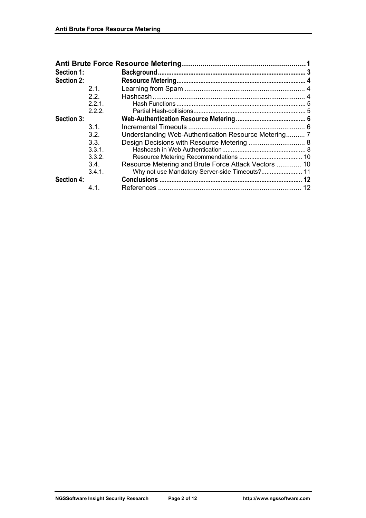| Section 1: |        |                                                      |    |
|------------|--------|------------------------------------------------------|----|
| Section 2: |        |                                                      |    |
|            | 21     |                                                      |    |
|            | 2.2.   |                                                      |    |
|            | 2.2.1  |                                                      |    |
|            | 2.2.2. |                                                      |    |
| Section 3: |        |                                                      |    |
|            | 3 1 I  |                                                      |    |
|            | 3.2.   |                                                      |    |
|            | 3.3.   | Design Decisions with Resource Metering  8           |    |
|            | 3.3.1. |                                                      |    |
|            | 3.3.2. |                                                      |    |
|            | 3.4.   | Resource Metering and Brute Force Attack Vectors  10 |    |
|            | 3.4.1  | Why not use Mandatory Server-side Timeouts? 11       |    |
| Section 4: |        |                                                      |    |
|            | 4.1.   |                                                      | 12 |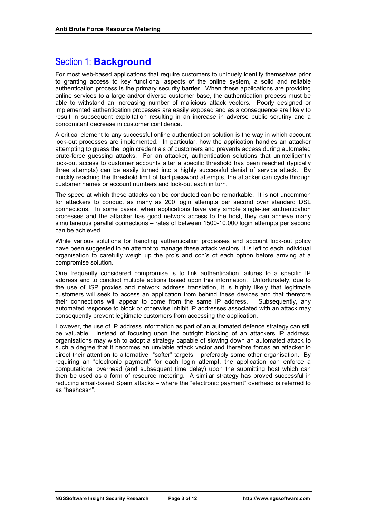# Section 1: **Background**

For most web-based applications that require customers to uniquely identify themselves prior to granting access to key functional aspects of the online system, a solid and reliable authentication process is the primary security barrier. When these applications are providing online services to a large and/or diverse customer base, the authentication process must be able to withstand an increasing number of malicious attack vectors. Poorly designed or implemented authentication processes are easily exposed and as a consequence are likely to result in subsequent exploitation resulting in an increase in adverse public scrutiny and a concomitant decrease in customer confidence.

A critical element to any successful online authentication solution is the way in which account lock-out processes are implemented. In particular, how the application handles an attacker attempting to guess the login credentials of customers and prevents access during automated brute-force guessing attacks. For an attacker, authentication solutions that unintelligently lock-out access to customer accounts after a specific threshold has been reached (typically three attempts) can be easily turned into a highly successful denial of service attack. By quickly reaching the threshold limit of bad password attempts, the attacker can cycle through customer names or account numbers and lock-out each in turn.

The speed at which these attacks can be conducted can be remarkable. It is not uncommon for attackers to conduct as many as 200 login attempts per second over standard DSL connections. In some cases, when applications have very simple single-tier authentication processes and the attacker has good network access to the host, they can achieve many simultaneous parallel connections – rates of between 1500-10,000 login attempts per second can be achieved.

While various solutions for handling authentication processes and account lock-out policy have been suggested in an attempt to manage these attack vectors, it is left to each individual organisation to carefully weigh up the pro's and con's of each option before arriving at a compromise solution.

One frequently considered compromise is to link authentication failures to a specific IP address and to conduct multiple actions based upon this information. Unfortunately, due to the use of ISP proxies and network address translation, it is highly likely that legitimate customers will seek to access an application from behind these devices and that therefore their connections will appear to come from the same IP address. Subsequently, any automated response to block or otherwise inhibit IP addresses associated with an attack may consequently prevent legitimate customers from accessing the application.

However, the use of IP address information as part of an automated defence strategy can still be valuable. Instead of focusing upon the outright blocking of an attackers IP address, organisations may wish to adopt a strategy capable of slowing down an automated attack to such a degree that it becomes an unviable attack vector and therefore forces an attacker to direct their attention to alternative "softer" targets – preferably some other organisation. By requiring an "electronic payment" for each login attempt, the application can enforce a computational overhead (and subsequent time delay) upon the submitting host which can then be used as a form of resource metering. A similar strategy has proved successful in reducing email-based Spam attacks – where the "electronic payment" overhead is referred to as "hashcash".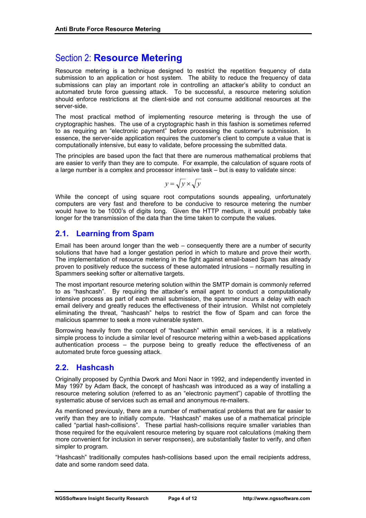# Section 2: **Resource Metering**

Resource metering is a technique designed to restrict the repetition frequency of data submission to an application or host system. The ability to reduce the frequency of data submissions can play an important role in controlling an attacker's ability to conduct an automated brute force guessing attack. To be successful, a resource metering solution should enforce restrictions at the client-side and not consume additional resources at the server-side.

The most practical method of implementing resource metering is through the use of cryptographic hashes. The use of a cryptographic hash in this fashion is sometimes referred to as requiring an "electronic payment" before processing the customer's submission. In essence, the server-side application requires the customer's client to compute a value that is computationally intensive, but easy to validate, before processing the submitted data.

The principles are based upon the fact that there are numerous mathematical problems that are easier to verify than they are to compute. For example, the calculation of square roots of a large number is a complex and processor intensive task – but is easy to validate since:

$$
y = \sqrt{y} \times \sqrt{y}
$$

While the concept of using square root computations sounds appealing, unfortunately computers are very fast and therefore to be conducive to resource metering the number would have to be 1000's of digits long. Given the HTTP medium, it would probably take longer for the transmission of the data than the time taken to compute the values.

# **2.1. Learning from Spam**

Email has been around longer than the web – consequently there are a number of security solutions that have had a longer gestation period in which to mature and prove their worth. The implementation of resource metering in the fight against email-based Spam has already proven to positively reduce the success of these automated intrusions – normally resulting in Spammers seeking softer or alternative targets.

The most important resource metering solution within the SMTP domain is commonly referred to as "hashcash". By requiring the attacker's email agent to conduct a computationally intensive process as part of each email submission, the spammer incurs a delay with each email delivery and greatly reduces the effectiveness of their intrusion. Whilst not completely eliminating the threat, "hashcash" helps to restrict the flow of Spam and can force the malicious spammer to seek a more vulnerable system.

Borrowing heavily from the concept of "hashcash" within email services, it is a relatively simple process to include a similar level of resource metering within a web-based applications authentication process – the purpose being to greatly reduce the effectiveness of an automated brute force guessing attack.

# **2.2. Hashcash**

Originally proposed by Cynthia Dwork and Moni Naor in 1992, and independently invented in May 1997 by Adam Back, the concept of hashcash was introduced as a way of installing a resource metering solution (referred to as an "electronic payment") capable of throttling the systematic abuse of services such as email and anonymous re-mailers.

As mentioned previously, there are a number of mathematical problems that are far easier to verify than they are to initially compute. "Hashcash" makes use of a mathematical principle called "partial hash-collisions". These partial hash-collisions require smaller variables than those required for the equivalent resource metering by square root calculations (making them more convenient for inclusion in server responses), are substantially faster to verify, and often simpler to program.

"Hashcash" traditionally computes hash-collisions based upon the email recipients address, date and some random seed data.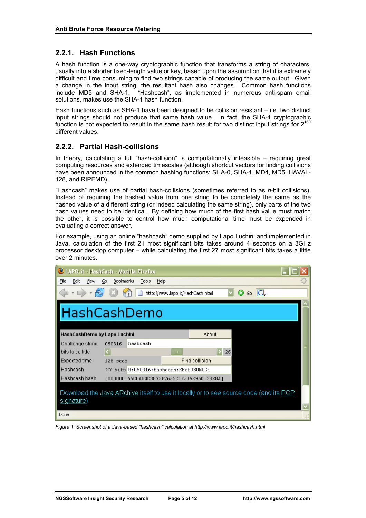## **2.2.1. Hash Functions**

A hash function is a one-way cryptographic function that transforms a string of characters, usually into a shorter fixed-length value or key, based upon the assumption that it is extremely difficult and time consuming to find two strings capable of producing the same output. Given a change in the input string, the resultant hash also changes. Common hash functions include MD5 and SHA-1. "Hashcash", as implemented in numerous anti-spam email solutions, makes use the SHA-1 hash function.

Hash functions such as SHA-1 have been designed to be collision resistant – i.e. two distinct input strings should not produce that same hash value. In fact, the SHA-1 cryptographic function is not expected to result in the same hash result for two distinct input strings for  $2^{160}$ different values.

## **2.2.2. Partial Hash-collisions**

In theory, calculating a full "hash-collision" is computationally infeasible – requiring great computing resources and extended timescales (although shortcut vectors for finding collisions have been announced in the common hashing functions: SHA-0, SHA-1, MD4, MD5, HAVAL-128, and RIPEMD).

"Hashcash" makes use of partial hash-collisions (sometimes referred to as *n*-bit collisions). Instead of requiring the hashed value from one string to be completely the same as the hashed value of a different string (or indeed calculating the same string), only parts of the two hash values need to be identical. By defining how much of the first hash value must match the other, it is possible to control how much computational time must be expended in evaluating a correct answer.

For example, using an online "hashcash" demo supplied by Lapo Luchini and implemented in Java, calculation of the first 21 most significant bits takes around 4 seconds on a 3GHz processor desktop computer – while calculating the first 27 most significant bits takes a little over 2 minutes.

| LAPO.it - HashCash - Mozilla Firefox                                                                  |                                            |          |                       |       |  |  |  |  |  |
|-------------------------------------------------------------------------------------------------------|--------------------------------------------|----------|-----------------------|-------|--|--|--|--|--|
| Edit<br>Bookmarks<br>File<br><b>View</b><br>Go.<br>Tools<br>Help                                      |                                            |          |                       |       |  |  |  |  |  |
| IC.<br>http://www.lapo.it/HashCash.html<br>Go                                                         |                                            |          |                       |       |  |  |  |  |  |
| HashCashDemo                                                                                          |                                            |          |                       |       |  |  |  |  |  |
| HashCashDemo by Lapo Luchini                                                                          |                                            |          |                       | About |  |  |  |  |  |
| Challenge string                                                                                      | 050316                                     | hashcash |                       |       |  |  |  |  |  |
| bits to collide                                                                                       | $\vert$ < $\vert$                          |          | $\mathbb{H}$          | 26    |  |  |  |  |  |
| Expected time                                                                                         | $128$ secs                                 |          | <b>Find collision</b> |       |  |  |  |  |  |
| Hashcash                                                                                              | 27 bits 0:050316:hashcash:KEcf030NCGi      |          |                       |       |  |  |  |  |  |
| Hashcash hash                                                                                         | [000000156C0A04C3873F7655C1F519E95D13828A] |          |                       |       |  |  |  |  |  |
| Download the Java ARchive itself to use it locally or to see source code (and its PGP)<br>signature). |                                            |          |                       |       |  |  |  |  |  |
| Done                                                                                                  |                                            |          |                       |       |  |  |  |  |  |

*Figure 1: Screenshot of a Java-based "hashcash" calculation at http://www.lapo.it/hashcash.html*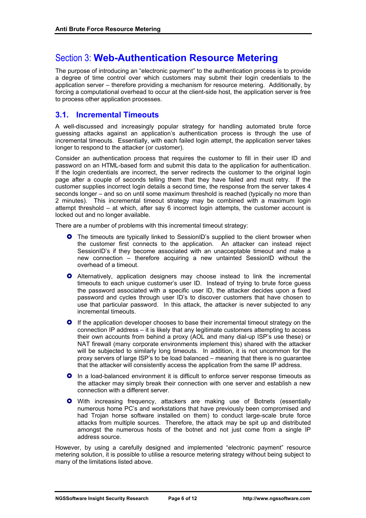# Section 3: **Web-Authentication Resource Metering**

The purpose of introducing an "electronic payment" to the authentication process is to provide a degree of time control over which customers may submit their login credentials to the application server – therefore providing a mechanism for resource metering. Additionally, by forcing a computational overhead to occur at the client-side host, the application server is free to process other application processes.

## **3.1. Incremental Timeouts**

A well-discussed and increasingly popular strategy for handling automated brute force guessing attacks against an application's authentication process is through the use of incremental timeouts. Essentially, with each failed login attempt, the application server takes longer to respond to the attacker (or customer).

Consider an authentication process that requires the customer to fill in their user ID and password on an HTML-based form and submit this data to the application for authentication. If the login credentials are incorrect, the server redirects the customer to the original login page after a couple of seconds telling them that they have failed and must retry. If the customer supplies incorrect login details a second time, the response from the server takes 4 seconds longer – and so on until some maximum threshold is reached (typically no more than 2 minutes). This incremental timeout strategy may be combined with a maximum login attempt threshold – at which, after say 6 incorrect login attempts, the customer account is locked out and no longer available.

There are a number of problems with this incremental timeout strategy:

- **O** The timeouts are typically linked to SessionID's supplied to the client browser when the customer first connects to the application. An attacker can instead reject SessionID's if they become associated with an unacceptable timeout and make a new connection – therefore acquiring a new untainted SessionID without the overhead of a timeout.
- **O** Alternatively, application designers may choose instead to link the incremental timeouts to each unique customer's user ID. Instead of trying to brute force guess the password associated with a specific user ID, the attacker decides upon a fixed password and cycles through user ID's to discover customers that have chosen to use that particular password. In this attack, the attacker is never subjected to any incremental timeouts.
- **•** If the application developer chooses to base their incremental timeout strategy on the connection IP address – it is likely that any legitimate customers attempting to access their own accounts from behind a proxy (AOL and many dial-up ISP's use these) or NAT firewall (many corporate environments implement this) shared with the attacker will be subjected to similarly long timeouts. In addition, it is not uncommon for the proxy servers of large ISP's to be load balanced – meaning that there is no guarantee that the attacker will consistently access the application from the same IP address.
- **•** In a load-balanced environment it is difficult to enforce server response timeouts as the attacker may simply break their connection with one server and establish a new connection with a different server.
- **•** With increasing frequency, attackers are making use of Botnets (essentially numerous home PC's and workstations that have previously been compromised and had Trojan horse software installed on them) to conduct large-scale brute force attacks from multiple sources. Therefore, the attack may be spit up and distributed amongst the numerous hosts of the botnet and not just come from a single IP address source.

However, by using a carefully designed and implemented "electronic payment" resource metering solution, it is possible to utilise a resource metering strategy without being subject to many of the limitations listed above.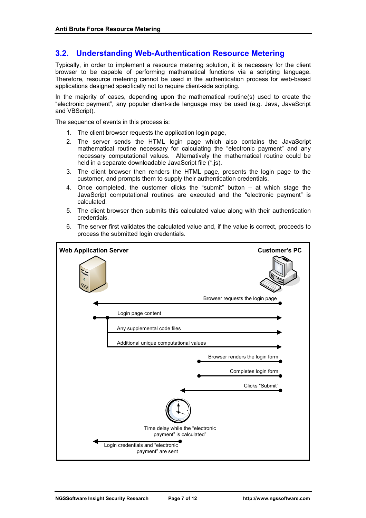## **3.2. Understanding Web-Authentication Resource Metering**

Typically, in order to implement a resource metering solution, it is necessary for the client browser to be capable of performing mathematical functions via a scripting language. Therefore, resource metering cannot be used in the authentication process for web-based applications designed specifically not to require client-side scripting.

In the majority of cases, depending upon the mathematical routine(s) used to create the "electronic payment", any popular client-side language may be used (e.g. Java, JavaScript and VBScript).

The sequence of events in this process is:

- 1. The client browser requests the application login page,
- 2. The server sends the HTML login page which also contains the JavaScript mathematical routine necessary for calculating the "electronic payment" and any necessary computational values. Alternatively the mathematical routine could be held in a separate downloadable JavaScript file (\*.js).
- 3. The client browser then renders the HTML page, presents the login page to the customer, and prompts them to supply their authentication credentials.
- 4. Once completed, the customer clicks the "submit" button at which stage the JavaScript computational routines are executed and the "electronic payment" is calculated.
- 5. The client browser then submits this calculated value along with their authentication credentials.
- 6. The server first validates the calculated value and, if the value is correct, proceeds to process the submitted login credentials.

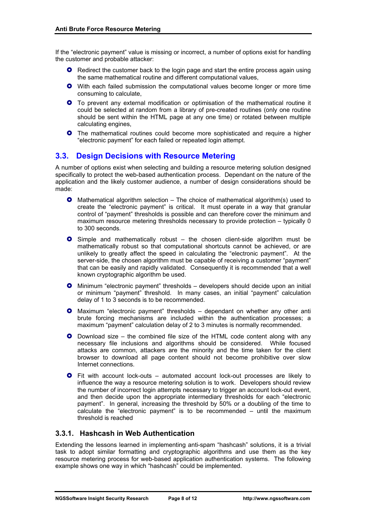If the "electronic payment" value is missing or incorrect, a number of options exist for handling the customer and probable attacker:

- **•** Redirect the customer back to the login page and start the entire process again using the same mathematical routine and different computational values,
- **•** With each failed submission the computational values become longer or more time consuming to calculate,
- **•** To prevent any external modification or optimisation of the mathematical routine it could be selected at random from a library of pre-created routines (only one routine should be sent within the HTML page at any one time) or rotated between multiple calculating engines,
- **•** The mathematical routines could become more sophisticated and require a higher "electronic payment" for each failed or repeated login attempt.

## **3.3. Design Decisions with Resource Metering**

A number of options exist when selecting and building a resource metering solution designed specifically to protect the web-based authentication process. Dependant on the nature of the application and the likely customer audience, a number of design considerations should be made:

- **O** Mathematical algorithm selection The choice of mathematical algorithm(s) used to create the "electronic payment" is critical. It must operate in a way that granular control of "payment" thresholds is possible and can therefore cover the minimum and maximum resource metering thresholds necessary to provide protection – typically 0 to 300 seconds.
- **O** Simple and mathematically robust the chosen client-side algorithm must be mathematically robust so that computational shortcuts cannot be achieved, or are unlikely to greatly affect the speed in calculating the "electronic payment". At the server-side, the chosen algorithm must be capable of receiving a customer "payment" that can be easily and rapidly validated. Consequently it is recommended that a well known cryptographic algorithm be used.
- **O** Minimum "electronic payment" thresholds developers should decide upon an initial or minimum "payment" threshold. In many cases, an initial "payment" calculation delay of 1 to 3 seconds is to be recommended.
- **O** Maximum "electronic payment" thresholds dependant on whether any other anti brute forcing mechanisms are included within the authentication processes; a maximum "payment" calculation delay of 2 to 3 minutes is normally recommended.
- $\bullet$  Download size the combined file size of the HTML code content along with any necessary file inclusions and algorithms should be considered. While focused attacks are common, attackers are the minority and the time taken for the client browser to download all page content should not become prohibitive over slow Internet connections.
- **O** Fit with account lock-outs automated account lock-out processes are likely to influence the way a resource metering solution is to work. Developers should review the number of incorrect login attempts necessary to trigger an account lock-out event, and then decide upon the appropriate intermediary thresholds for each "electronic payment". In general, increasing the threshold by 50% or a doubling of the time to calculate the "electronic payment" is to be recommended – until the maximum threshold is reached

#### **3.3.1. Hashcash in Web Authentication**

Extending the lessons learned in implementing anti-spam "hashcash" solutions, it is a trivial task to adopt similar formatting and cryptographic algorithms and use them as the key resource metering process for web-based application authentication systems. The following example shows one way in which "hashcash" could be implemented.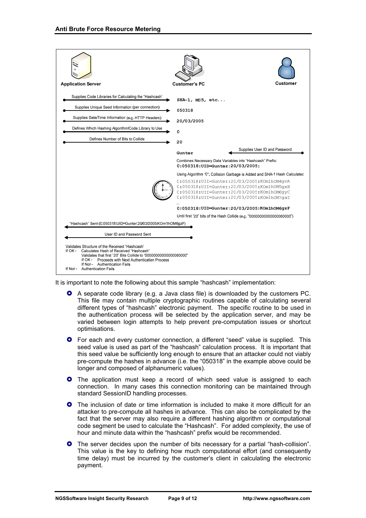

It is important to note the following about this sample "hashcash" implementation:

- } A separate code library (e.g. a Java class file) is downloaded by the customers PC. This file may contain multiple cryptographic routines capable of calculating several different types of "hashcash" electronic payment. The specific routine to be used in the authentication process will be selected by the application server, and may be varied between login attempts to help prevent pre-computation issues or shortcut optimisations.
- **•** For each and every customer connection, a different "seed" value is supplied. This seed value is used as part of the "hashcash" calculation process. It is important that this seed value be sufficiently long enough to ensure that an attacker could not viably pre-compute the hashes in advance (i.e. the "050318" in the example above could be longer and composed of alphanumeric values).
- **O** The application must keep a record of which seed value is assigned to each connection. In many cases this connection monitoring can be maintained through standard SessionID handling processes.
- **O** The inclusion of date or time information is included to make it more difficult for an attacker to pre-compute all hashes in advance. This can also be complicated by the fact that the server may also require a different hashing algorithm or computational code segment be used to calculate the "Hashcash". For added complexity, the use of hour and minute data within the "hashcash" prefix would be recommended.
- **O** The server decides upon the number of bits necessary for a partial "hash-collision". This value is the key to defining how much computational effort (and consequently time delay) must be incurred by the customer's client in calculating the electronic payment.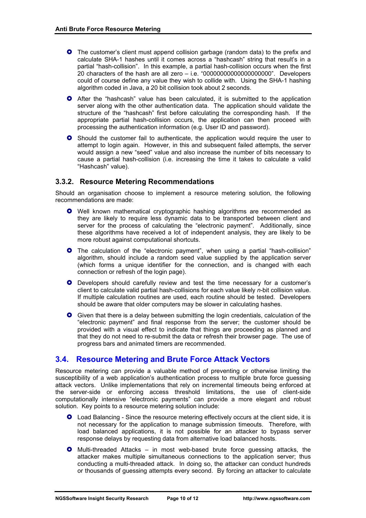- **O** The customer's client must append collision garbage (random data) to the prefix and calculate SHA-1 hashes until it comes across a "hashcash" string that result's in a partial "hash-collision". In this example, a partial hash-collision occurs when the first 20 characters of the hash are all zero – i.e. "00000000000000000000". Developers could of course define any value they wish to collide with. Using the SHA-1 hashing algorithm coded in Java, a 20 bit collision took about 2 seconds.
- **O** After the "hashcash" value has been calculated, it is submitted to the application server along with the other authentication data. The application should validate the structure of the "hashcash" first before calculating the corresponding hash. If the appropriate partial hash-collision occurs, the application can then proceed with processing the authentication information (e.g. User ID and password).
- **O** Should the customer fail to authenticate, the application would require the user to attempt to login again. However, in this and subsequent failed attempts, the server would assign a new "seed" value and also increase the number of bits necessary to cause a partial hash-collision (i.e. increasing the time it takes to calculate a valid "Hashcash" value).

#### **3.3.2. Resource Metering Recommendations**

Should an organisation choose to implement a resource metering solution, the following recommendations are made:

- **O** Well known mathematical cryptographic hashing algorithms are recommended as they are likely to require less dynamic data to be transported between client and server for the process of calculating the "electronic payment". Additionally, since these algorithms have received a lot of independent analysis, they are likely to be more robust against computational shortcuts.
- **O** The calculation of the "electronic payment", when using a partial "hash-collision" algorithm, should include a random seed value supplied by the application server (which forms a unique identifier for the connection, and is changed with each connection or refresh of the login page).
- **O** Developers should carefully review and test the time necessary for a customer's client to calculate valid partial hash-collisions for each value likely *n*-bit collision value. If multiple calculation routines are used, each routine should be tested. Developers should be aware that older computers may be slower in calculating hashes.
- **•** Given that there is a delay between submitting the login credentials, calculation of the "electronic payment" and final response from the server; the customer should be provided with a visual effect to indicate that things are proceeding as planned and that they do not need to re-submit the data or refresh their browser page. The use of progress bars and animated timers are recommended.

# **3.4. Resource Metering and Brute Force Attack Vectors**

Resource metering can provide a valuable method of preventing or otherwise limiting the susceptibility of a web application's authentication process to multiple brute force guessing attack vectors. Unlike implementations that rely on incremental timeouts being enforced at the server-side or enforcing access threshold limitations, the use of client-side computationally intensive "electronic payments" can provide a more elegant and robust solution. Key points to a resource metering solution include:

- **•** Load Balancing Since the resource metering effectively occurs at the client side, it is not necessary for the application to manage submission timeouts. Therefore, with load balanced applications, it is not possible for an attacker to bypass server response delays by requesting data from alternative load balanced hosts.
- **O** Multi-threaded Attacks in most web-based brute force guessing attacks, the attacker makes multiple simultaneous connections to the application server; thus conducting a multi-threaded attack. In doing so, the attacker can conduct hundreds or thousands of guessing attempts every second. By forcing an attacker to calculate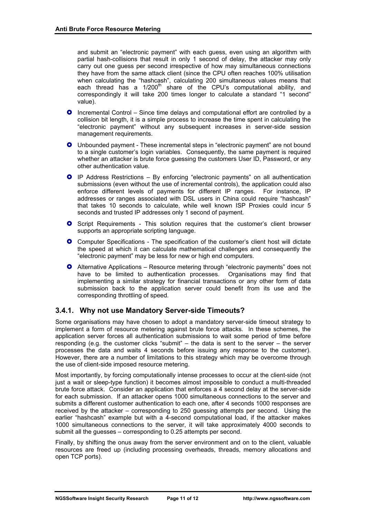and submit an "electronic payment" with each guess, even using an algorithm with partial hash-collisions that result in only 1 second of delay, the attacker may only carry out one guess per second irrespective of how may simultaneous connections they have from the same attack client (since the CPU often reaches 100% utilisation when calculating the "hashcash", calculating 200 simultaneous values means that each thread has a  $1/200<sup>th</sup>$  share of the CPU's computational ability, and correspondingly it will take 200 times longer to calculate a standard "1 second" value).

- **O** Incremental Control Since time delays and computational effort are controlled by a collision bit length, it is a simple process to increase the time spent in calculating the "electronic payment" without any subsequent increases in server-side session management requirements.
- **O** Unbounded payment These incremental steps in "electronic payment" are not bound to a single customer's login variables. Consequently, the same payment is required whether an attacker is brute force guessing the customers User ID, Password, or any other authentication value.
- } IP Address Restrictions By enforcing "electronic payments" on all authentication submissions (even without the use of incremental controls), the application could also enforce different levels of payments for different IP ranges. For instance, IP addresses or ranges associated with DSL users in China could require "hashcash" that takes 10 seconds to calculate, while well known ISP Proxies could incur 5 seconds and trusted IP addresses only 1 second of payment.
- **•** Script Requirements This solution requires that the customer's client browser supports an appropriate scripting language.
- **O** Computer Specifications The specification of the customer's client host will dictate the speed at which it can calculate mathematical challenges and consequently the "electronic payment" may be less for new or high end computers.
- **O** Alternative Applications Resource metering through "electronic payments" does not have to be limited to authentication processes. Organisations may find that implementing a similar strategy for financial transactions or any other form of data submission back to the application server could benefit from its use and the corresponding throttling of speed.

#### **3.4.1. Why not use Mandatory Server-side Timeouts?**

Some organisations may have chosen to adopt a mandatory server-side timeout strategy to implement a form of resource metering against brute force attacks. In these schemes, the application server forces all authentication submissions to wait some period of time before responding (e.g. the customer clicks "submit" – the data is sent to the server – the server processes the data and waits 4 seconds before issuing any response to the customer). However, there are a number of limitations to this strategy which may be overcome through the use of client-side imposed resource metering.

Most importantly, by forcing computationally intense processes to occur at the client-side (not just a wait or sleep-type function) it becomes almost impossible to conduct a multi-threaded brute force attack. Consider an application that enforces a 4 second delay at the server-side for each submission. If an attacker opens 1000 simultaneous connections to the server and submits a different customer authentication to each one, after 4 seconds 1000 responses are received by the attacker – corresponding to 250 guessing attempts per second. Using the earlier "hashcash" example but with a 4-second computational load, if the attacker makes 1000 simultaneous connections to the server, it will take approximately 4000 seconds to submit all the guesses – corresponding to 0.25 attempts per second.

Finally, by shifting the onus away from the server environment and on to the client, valuable resources are freed up (including processing overheads, threads, memory allocations and open TCP ports).